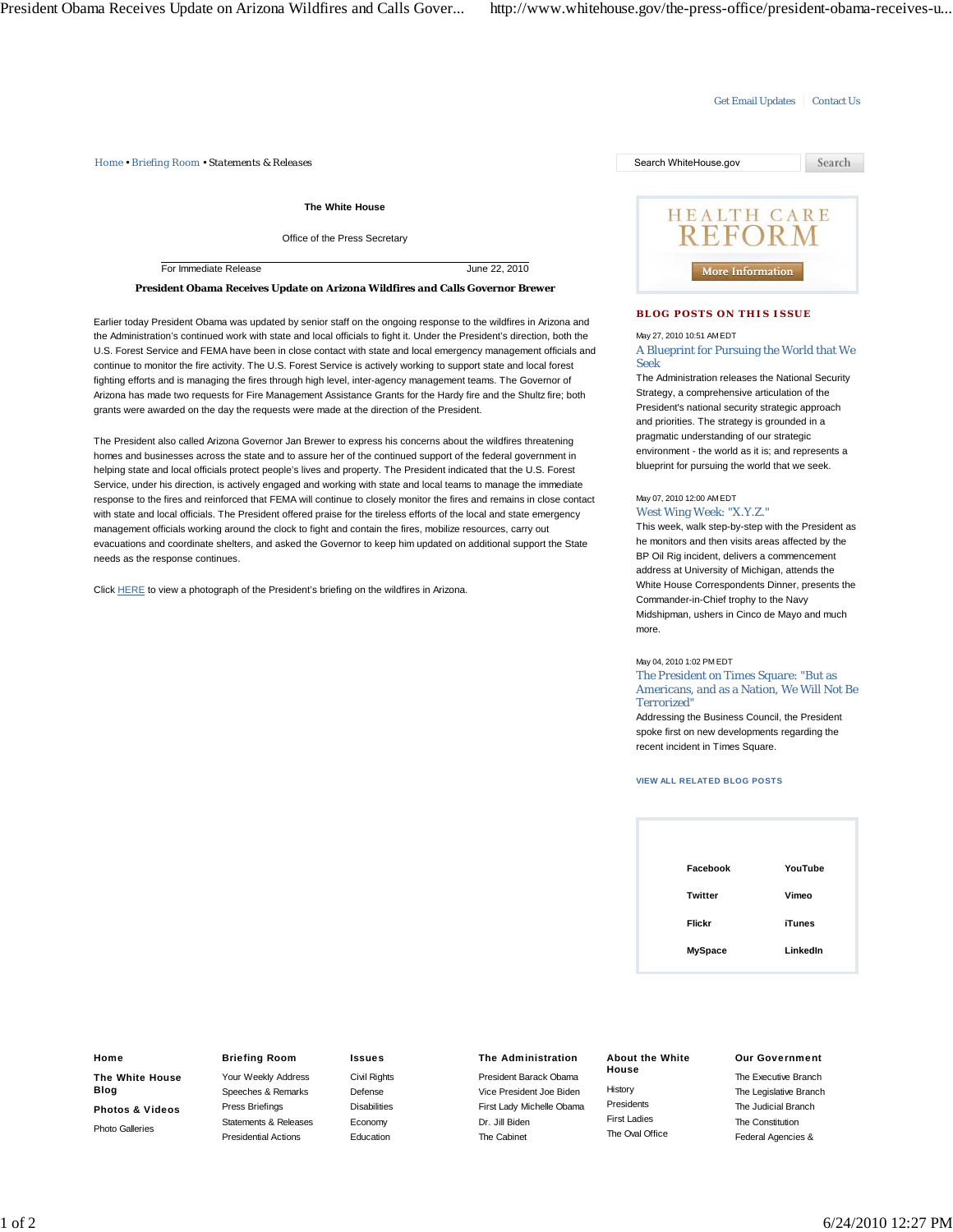#### Get Email Updates | Contact Us

*Home • Briefing Room • Statements & Releases* Search WhiteHouse.gov

**The White House**

Office of the Press Secretary

For Immediate Release June 22, 2010

**President Obama Receives Update on Arizona Wildfires and Calls Governor Brewer**

Earlier today President Obama was updated by senior staff on the ongoing response to the wildfires in Arizona and the Administration's continued work with state and local officials to fight it. Under the President's direction, both the U.S. Forest Service and FEMA have been in close contact with state and local emergency management officials and continue to monitor the fire activity. The U.S. Forest Service is actively working to support state and local forest fighting efforts and is managing the fires through high level, inter-agency management teams. The Governor of Arizona has made two requests for Fire Management Assistance Grants for the Hardy fire and the Shultz fire; both grants were awarded on the day the requests were made at the direction of the President.

The President also called Arizona Governor Jan Brewer to express his concerns about the wildfires threatening homes and businesses across the state and to assure her of the continued support of the federal government in helping state and local officials protect people's lives and property. The President indicated that the U.S. Forest Service, under his direction, is actively engaged and working with state and local teams to manage the immediate response to the fires and reinforced that FEMA will continue to closely monitor the fires and remains in close contact with state and local officials. The President offered praise for the tireless efforts of the local and state emergency management officials working around the clock to fight and contain the fires, mobilize resources, carry out evacuations and coordinate shelters, and asked the Governor to keep him updated on additional support the State needs as the response continues.

Click HERE to view a photograph of the President's briefing on the wildfires in Arizona.

# Search **HEALTH CARE REFORM** More Information

# **BLOG POSTS ON THIS ISSUE**

# May 27, 2010 10:51 AM EDT

A Blueprint for Pursuing the World that We Seek

The Administration releases the National Security Strategy, a comprehensive articulation of the President's national security strategic approach and priorities. The strategy is grounded in a pragmatic understanding of our strategic environment - the world as it is; and represents a blueprint for pursuing the world that we seek.

#### May 07, 2010 12:00 AM EDT West Wing Week: "X.Y.Z."

This week, walk step-by-step with the President as he monitors and then visits areas affected by the BP Oil Rig incident, delivers a commencement address at University of Michigan, attends the White House Correspondents Dinner, presents the Commander-in-Chief trophy to the Navy Midshipman, ushers in Cinco de Mayo and much more.

May 04, 2010 1:02 PM EDT

The President on Times Square: "But as Americans, and as a Nation, We Will Not Be Terrorized"

Addressing the Business Council, the President spoke first on new developments regarding the recent incident in Times Square.

#### **VIEW ALL RELATED BLOG POSTS**

| Facebook       | YouTube       |
|----------------|---------------|
| <b>Twitter</b> | Vimeo         |
| Flickr         | <b>iTunes</b> |
| <b>MySpace</b> | LinkedIn      |

#### **Home**

**The White House Blog**

**Photos & Videos** Photo Galleries

## **Briefing Room**

Your Weekly Address Speeches & Remarks Press Briefings Statements & Releases Presidential Actions

#### **Issues**

Civil Rights Defense **Disabilities** Economy Education

#### **The Administration**

President Barack Obama Vice President Joe Biden First Lady Michelle Obama Dr. Jill Biden The Cabinet

### **House** History Presidents First Ladies The Oval Office

**About the White**

#### **Our Government**

The Executive Branch The Legislative Branch The Judicial Branch The Constitution Federal Agencies &